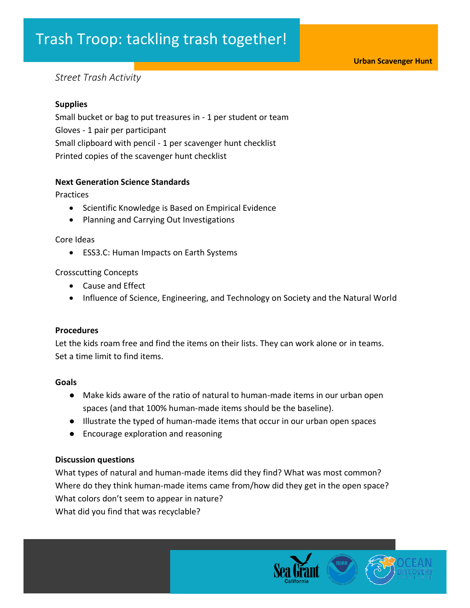### Trash Troop: tackling trash together!

#### *Street Trash Activity*

#### **Supplies**

Small bucket or bag to put treasures in - 1 per student or team Gloves - 1 pair per participant Small clipboard with pencil - 1 per scavenger hunt checklist Printed copies of the scavenger hunt checklist

#### **Next Generation Science Standards**

Practices

- Scientific Knowledge is Based on Empirical Evidence
- Planning and Carrying Out Investigations

#### Core Ideas

• ESS3.C: Human Impacts on Earth Systems

#### Crosscutting Concepts

- Cause and Effect
- Influence of Science, Engineering, and Technology on Society and the Natural World

#### **Procedures**

Let the kids roam free and find the items on their lists. They can work alone or in teams. Set a time limit to find items.

#### **Goals**

- Make kids aware of the ratio of natural to human-made items in our urban open spaces (and that 100% human-made items should be the baseline).
- Illustrate the typed of human-made items that occur in our urban open spaces
- Encourage exploration and reasoning

#### **Discussion questions**

What types of natural and human-made items did they find? What was most common? Where do they think human-made items came from/how did they get in the open space? What colors don't seem to appear in nature? What did you find that was recyclable?